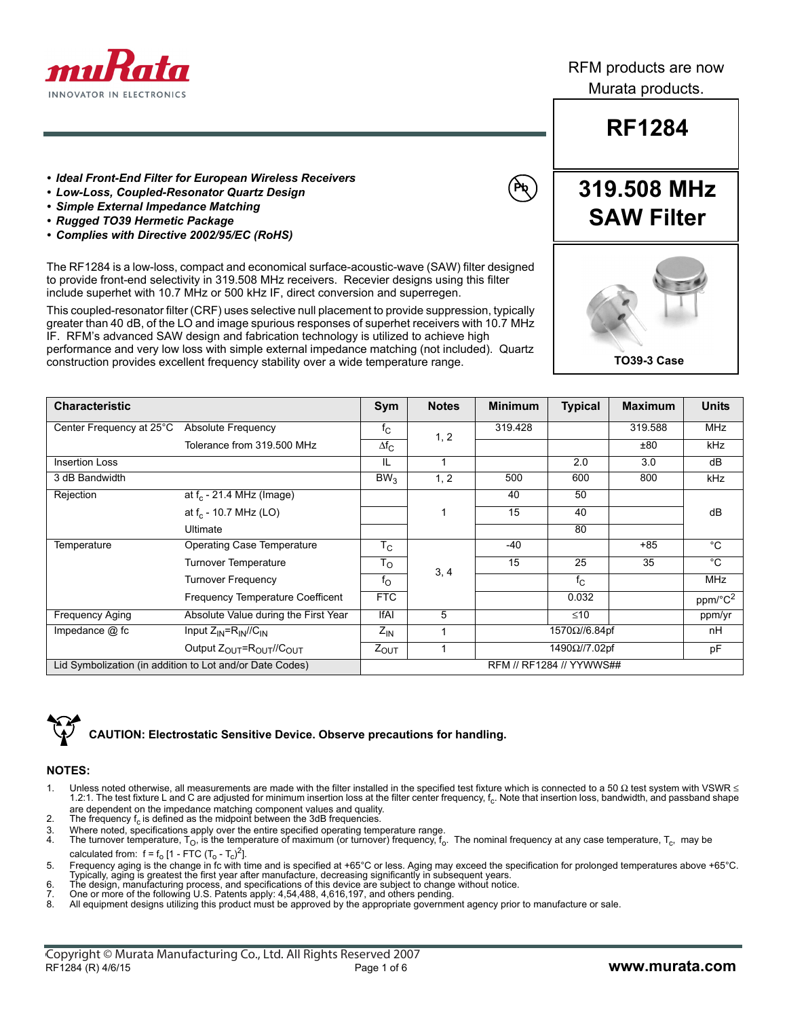

RFM products are now Murata products.

## **RF1284**

**319.508 MHz**

**TO39-3 Case**

- *Ideal Front-End Filter for European Wireless Receivers*
- *Low-Loss, Coupled-Resonator Quartz Design*
- *Simple External Impedance Matching*
- *Rugged TO39 Hermetic Package*
- *Complies with Directive 2002/95/EC (RoHS)*

The RF1284 is a low-loss, compact and economical surface-acoustic-wave (SAW) filter designed to provide front-end selectivity in 319.508 MHz receivers. Recevier designs using this filter include superhet with 10.7 MHz or 500 kHz IF, direct conversion and superregen.

This coupled-resonator filter (CRF) uses selective null placement to provide suppression, typically greater than 40 dB, of the LO and image spurious responses of superhet receivers with 10.7 MHz IF. RFM's advanced SAW design and fabrication technology is utilized to achieve high

performance and very low loss with simple external impedance matching (not included). Quartz construction provides excellent frequency stability over a wide temperature range.

| <b>Characteristic</b>                                    |                                                             | Sym                      | <b>Notes</b> | <b>Minimum</b> | <b>Typical</b> | <b>Maximum</b> | <b>Units</b>        |
|----------------------------------------------------------|-------------------------------------------------------------|--------------------------|--------------|----------------|----------------|----------------|---------------------|
| Center Frequency at 25°C                                 | <b>Absolute Frequency</b>                                   | $f_{\rm C}$              |              | 319.428        |                | 319.588        | <b>MHz</b>          |
|                                                          | Tolerance from 319.500 MHz                                  | $\Delta f_{C}$           | 1, 2         |                |                | ±80            | kHz                 |
| <b>Insertion Loss</b>                                    |                                                             | IL                       | 1            |                | 2.0            | 3.0            | dB                  |
| 3 dB Bandwidth                                           |                                                             | BW <sub>3</sub>          | 1, 2         | 500            | 600            | 800            | kHz                 |
| Rejection                                                | at $f_c$ - 21.4 MHz (Image)                                 |                          |              | 40             | 50             |                |                     |
|                                                          | at $f_c$ - 10.7 MHz (LO)                                    |                          | $\mathbf 1$  | 15             | 40             |                | dB                  |
|                                                          | Ultimate                                                    |                          |              |                | 80             |                |                     |
| Temperature                                              | Operating Case Temperature                                  | $T_{\rm C}$              |              | -40            |                | $+85$          | $^{\circ}C$         |
|                                                          | <b>Turnover Temperature</b>                                 | $T_{\rm O}$              |              | 15             | 25             | 35             | $^{\circ}C$         |
|                                                          | <b>Turnover Frequency</b>                                   | $f_{\rm O}$              | 3, 4         |                | $f_{\rm C}$    |                | <b>MHz</b>          |
|                                                          | <b>Frequency Temperature Coefficent</b>                     | <b>FTC</b>               |              |                | 0.032          |                | ppm/°C <sup>2</sup> |
| <b>Frequency Aging</b>                                   | Absolute Value during the First Year                        | <b>IfAI</b>              | 5            |                | $≤10$          |                | ppm/yr              |
| Impedance $@$ fc                                         | Input $Z_{IN} = R_{IN}/C_{IN}$                              | $Z_{\text{IN}}$          |              | 1570Ω//6.84pf  |                | nH             |                     |
|                                                          | Output $Z_{\text{OUT}} = R_{\text{OUT}} / / C_{\text{OUT}}$ | $Z_{OUT}$                |              | 1490Ω//7.02pf  |                | pF             |                     |
| Lid Symbolization (in addition to Lot and/or Date Codes) |                                                             | RFM // RF1284 // YYWWS## |              |                |                |                |                     |



### **CAUTION: Electrostatic Sensitive Device. Observe precautions for handling.**

#### **NOTES:**

- 1. Unless noted otherwise, all measurements are made with the filter installed in the specified test fixture which is connected to a 50  $\Omega$  test system with VSWR < 1.2:1. The test fixture L and C are adjusted for minimum insertion loss at the filter center frequency, f<sub>c</sub>. Note that insertion loss, bandwidth, and passband shape are dependent on the impedance matching component values and quality.
- 2. The frequency f<sub>c</sub> is defined as the midpoint between the 3dB frequencies.<br>3. Where noted, specifications apply over the entire specified operating tem
- 3. Where noted, specifications apply over the entire specified operating temperature range.<br>4. The turnover temperature. To, is the temperature of maximum (or turnover) frequency, f.
- The turnover temperature,  $T_{\rm O}$ , is the temperature of maximum (or turnover) frequency,  $f_{\rm O}$ . The nominal frequency at any case temperature,  $T_{\rm C}$ , may be calculated from:  $f = f_0 [1 - FTC (T_0 - T_c)^2]$ .
- 5. Frequency aging is the change in fc with time and is specified at +65°C or less. Aging may exceed the specification for prolonged temperatures above +65°C. Typically, aging is greatest the first year after manufacture, decreasing significantly in subsequent years.
- 6. The design, manufacturing process, and specifications of this device are subject to change without notice.
- 7. One or more of the following U.S. Patents apply: 4,54,488, 4,616,197, and others pending.
- All equipment designs utilizing this product must be approved by the appropriate government agency prior to manufacture or sale.



**Pb**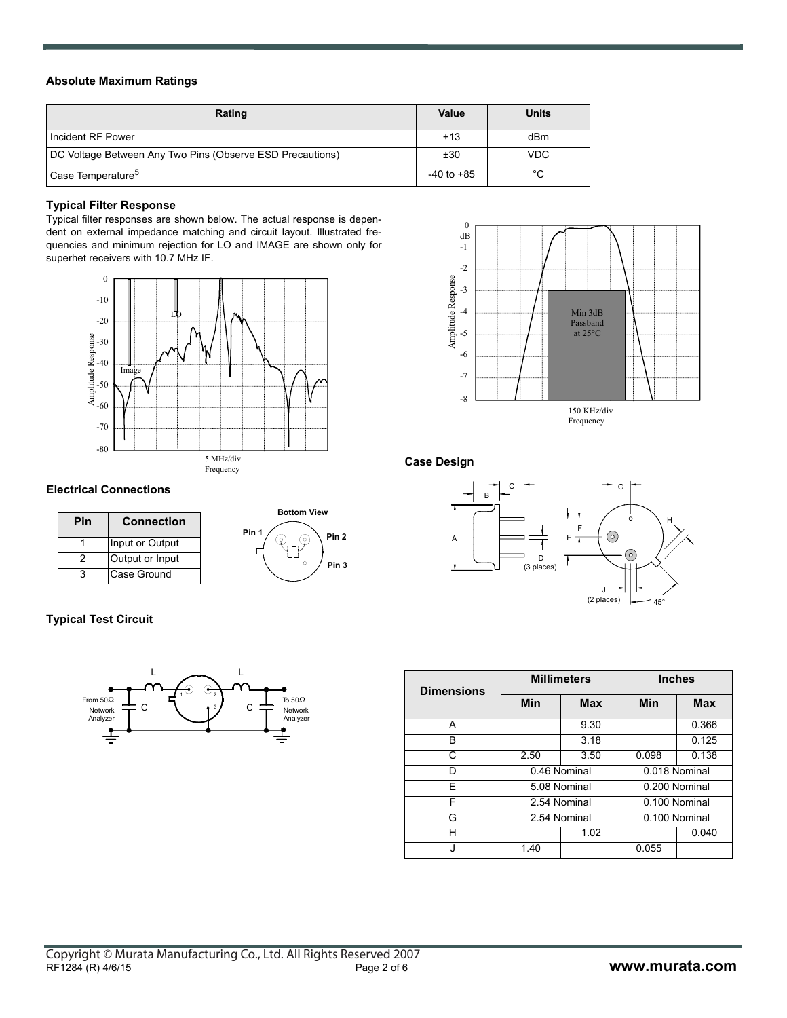#### **Absolute Maximum Ratings**

| Rating                                                    | Value          | <b>Units</b> |
|-----------------------------------------------------------|----------------|--------------|
| Incident RF Power                                         | $+13$          | dBm          |
| DC Voltage Between Any Two Pins (Observe ESD Precautions) | ±30            | VDC.         |
| Case Temperature <sup>5</sup>                             | $-40$ to $+85$ | °C           |

#### **Typical Filter Response**

Typical filter responses are shown below. The actual response is dependent on external impedance matching and circuit layout. Illustrated frequencies and minimum rejection for LO and IMAGE are shown only for superhet receivers with 10.7 MHz IF.



#### **Electrical Connections**

| Pin | <b>Connection</b> |  |  |
|-----|-------------------|--|--|
|     | Input or Output   |  |  |
|     | Output or Input   |  |  |
| વ   | Case Ground       |  |  |



#### **Typical Test Circuit**



| $\Omega$<br>dB<br>$-1$<br>$-2$<br>Amplitude Response<br>$-3$<br>$-4$<br>-5<br>$-6$<br>$-7$ | <br><br>Min 3dB<br>Passband<br>at 25°C |  |
|--------------------------------------------------------------------------------------------|----------------------------------------|--|
| $-8$                                                                                       | 150 KHz/div<br>Frequency               |  |

#### **Case Design**



| <b>Dimensions</b> | <b>Millimeters</b> |            | <b>Inches</b> |            |  |
|-------------------|--------------------|------------|---------------|------------|--|
|                   | Min                | <b>Max</b> | <b>Min</b>    | <b>Max</b> |  |
| А                 |                    | 9.30       |               | 0.366      |  |
| B                 |                    | 3.18       |               | 0.125      |  |
| C                 | 2.50               | 3.50       | 0.098         | 0.138      |  |
| ח                 | 0.46 Nominal       |            | 0.018 Nominal |            |  |
| F                 | 5.08 Nominal       |            | 0.200 Nominal |            |  |
| F                 | 2.54 Nominal       |            | 0.100 Nominal |            |  |
| G                 | 2.54 Nominal       |            | 0.100 Nominal |            |  |
| н                 |                    | 1.02       |               | 0.040      |  |
|                   | 1.40               |            | 0.055         |            |  |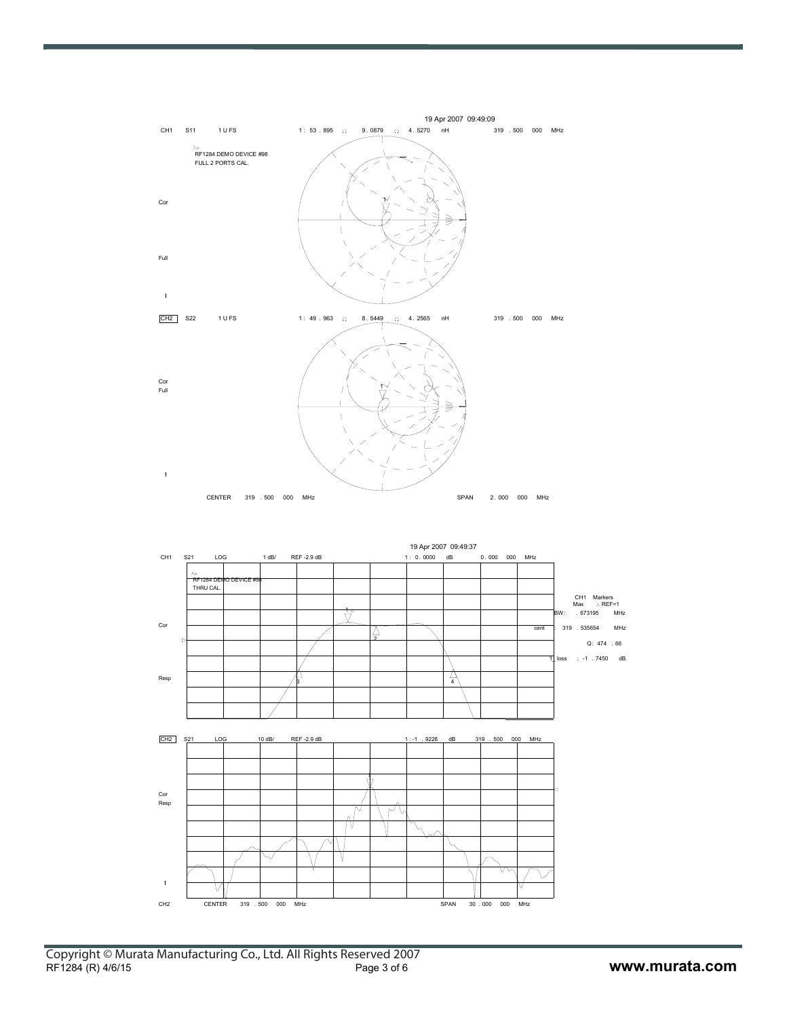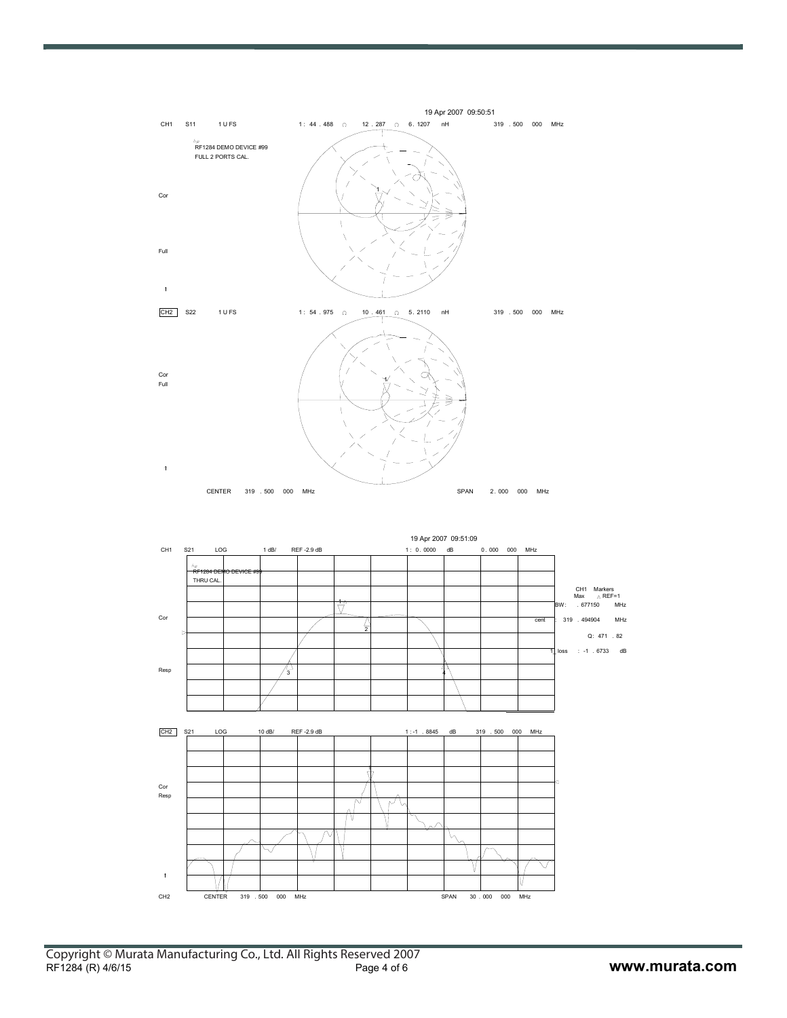

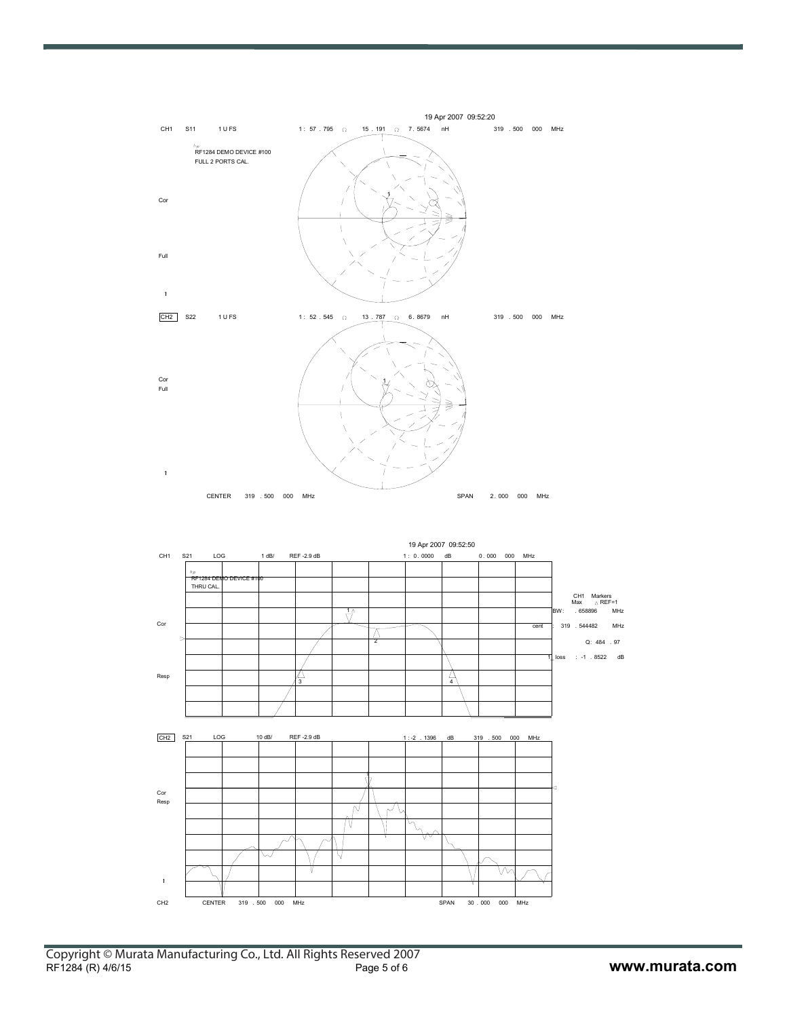

CH2 CENTER 319 . 500 000 MHz SPAN 30 . 000 000 MHz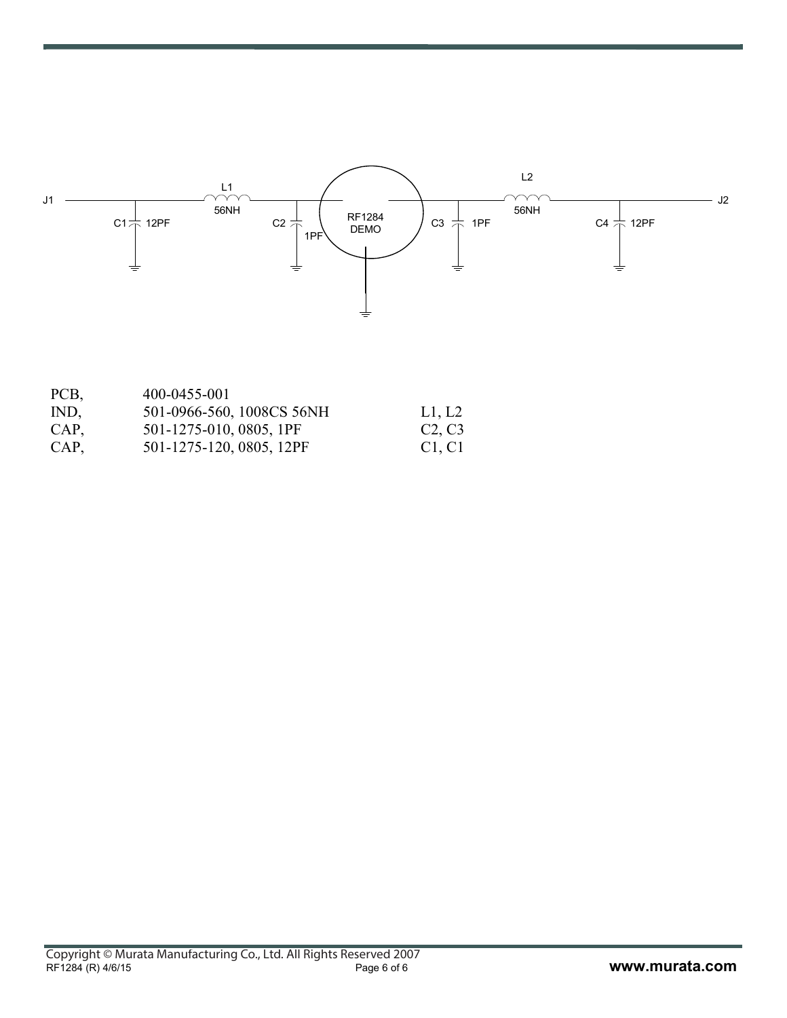

| PCB, | 400-0455-001              |        |
|------|---------------------------|--------|
| IND, | 501-0966-560, 1008CS 56NH | L1, L2 |
| CAP, | 501-1275-010, 0805, 1PF   | C2, C3 |
| CAP, | 501-1275-120, 0805, 12PF  | C1, C1 |